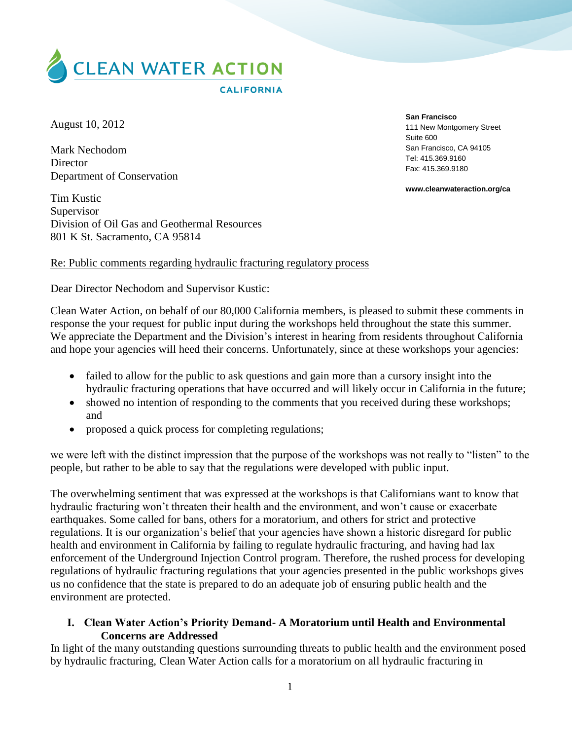

August 10, 2012

Mark Nechodom **Director** Department of Conservation

Tim Kustic Supervisor Division of Oil Gas and Geothermal Resources 801 K St. Sacramento, CA 95814

**San Francisco**

111 New Montgomery Street Suite 600 San Francisco, CA 94105 Tel: 415.369.9160 Fax: 415.369.9180

**www.cleanwateraction.org/ca**

### Re: Public comments regarding hydraulic fracturing regulatory process

Dear Director Nechodom and Supervisor Kustic:

Clean Water Action, on behalf of our 80,000 California members, is pleased to submit these comments in response the your request for public input during the workshops held throughout the state this summer. We appreciate the Department and the Division's interest in hearing from residents throughout California and hope your agencies will heed their concerns. Unfortunately, since at these workshops your agencies:

- failed to allow for the public to ask questions and gain more than a cursory insight into the hydraulic fracturing operations that have occurred and will likely occur in California in the future;
- showed no intention of responding to the comments that you received during these workshops; and
- proposed a quick process for completing regulations;

we were left with the distinct impression that the purpose of the workshops was not really to "listen" to the people, but rather to be able to say that the regulations were developed with public input.

The overwhelming sentiment that was expressed at the workshops is that Californians want to know that hydraulic fracturing won't threaten their health and the environment, and won't cause or exacerbate earthquakes. Some called for bans, others for a moratorium, and others for strict and protective regulations. It is our organization's belief that your agencies have shown a historic disregard for public health and environment in California by failing to regulate hydraulic fracturing, and having had lax enforcement of the Underground Injection Control program. Therefore, the rushed process for developing regulations of hydraulic fracturing regulations that your agencies presented in the public workshops gives us no confidence that the state is prepared to do an adequate job of ensuring public health and the environment are protected.

## **I. Clean Water Action's Priority Demand- A Moratorium until Health and Environmental Concerns are Addressed**

In light of the many outstanding questions surrounding threats to public health and the environment posed by hydraulic fracturing, Clean Water Action calls for a moratorium on all hydraulic fracturing in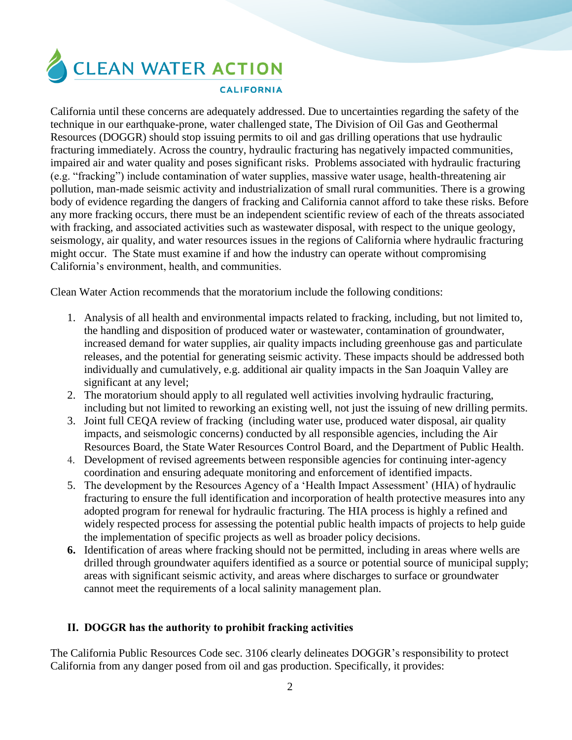CLEAN WATER ACTION

#### **CALIFORNIA**

California until these concerns are adequately addressed. Due to uncertainties regarding the safety of the technique in our earthquake-prone, water challenged state, The Division of Oil Gas and Geothermal Resources (DOGGR) should stop issuing permits to oil and gas drilling operations that use hydraulic fracturing immediately. Across the country, hydraulic fracturing has negatively impacted communities, impaired air and water quality and poses significant risks. Problems associated with hydraulic fracturing (e.g. "fracking") include contamination of water supplies, massive water usage, health-threatening air pollution, man-made seismic activity and industrialization of small rural communities. There is a growing body of evidence regarding the dangers of fracking and California cannot afford to take these risks. Before any more fracking occurs, there must be an independent scientific review of each of the threats associated with fracking, and associated activities such as wastewater disposal, with respect to the unique geology, seismology, air quality, and water resources issues in the regions of California where hydraulic fracturing might occur. The State must examine if and how the industry can operate without compromising California's environment, health, and communities.

Clean Water Action recommends that the moratorium include the following conditions:

- 1. Analysis of all health and environmental impacts related to fracking, including, but not limited to, the handling and disposition of produced water or wastewater, contamination of groundwater, increased demand for water supplies, air quality impacts including greenhouse gas and particulate releases, and the potential for generating seismic activity. These impacts should be addressed both individually and cumulatively, e.g. additional air quality impacts in the San Joaquin Valley are significant at any level;
- 2. The moratorium should apply to all regulated well activities involving hydraulic fracturing, including but not limited to reworking an existing well, not just the issuing of new drilling permits.
- 3. Joint full CEQA review of fracking (including water use, produced water disposal, air quality impacts, and seismologic concerns) conducted by all responsible agencies, including the Air Resources Board, the State Water Resources Control Board, and the Department of Public Health.
- 4. Development of revised agreements between responsible agencies for continuing inter-agency coordination and ensuring adequate monitoring and enforcement of identified impacts.
- 5. The development by the Resources Agency of a 'Health Impact Assessment' (HIA) of hydraulic fracturing to ensure the full identification and incorporation of health protective measures into any adopted program for renewal for hydraulic fracturing. The HIA process is highly a refined and widely respected process for assessing the potential public health impacts of projects to help guide the implementation of specific projects as well as broader policy decisions.
- **6.** Identification of areas where fracking should not be permitted, including in areas where wells are drilled through groundwater aquifers identified as a source or potential source of municipal supply; areas with significant seismic activity, and areas where discharges to surface or groundwater cannot meet the requirements of a local salinity management plan.

## **II. DOGGR has the authority to prohibit fracking activities**

The California Public Resources Code sec. 3106 clearly delineates DOGGR's responsibility to protect California from any danger posed from oil and gas production. Specifically, it provides: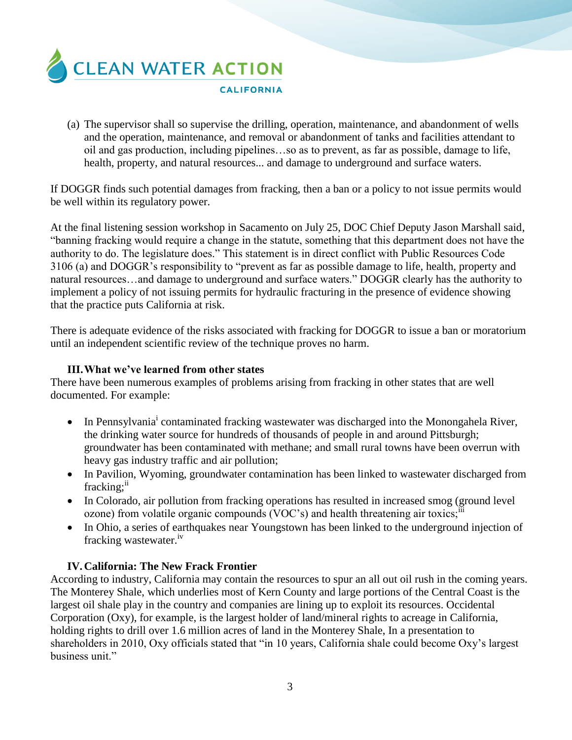

(a) The supervisor shall so supervise the drilling, operation, maintenance, and abandonment of wells and the operation, maintenance, and removal or abandonment of tanks and facilities attendant to oil and gas production, including pipelines…so as to prevent, as far as possible, damage to life, health, property, and natural resources... and damage to underground and surface waters.

If DOGGR finds such potential damages from fracking, then a ban or a policy to not issue permits would be well within its regulatory power.

At the final listening session workshop in Sacamento on July 25, DOC Chief Deputy Jason Marshall said, "banning fracking would require a change in the statute, something that this department does not have the authority to do. The legislature does." This statement is in direct conflict with Public Resources Code 3106 (a) and DOGGR's responsibility to "prevent as far as possible damage to life, health, property and natural resources…and damage to underground and surface waters." DOGGR clearly has the authority to implement a policy of not issuing permits for hydraulic fracturing in the presence of evidence showing that the practice puts California at risk.

There is adequate evidence of the risks associated with fracking for DOGGR to issue a ban or moratorium until an independent scientific review of the technique proves no harm.

## **III.What we've learned from other states**

There have been numerous examples of problems arising from fracking in other states that are well documented. For example:

- $\bullet$  In Pennsylvania<sup>i</sup> contaminated fracking wastewater was discharged into the Monongahela River, the drinking water source for hundreds of thousands of people in and around Pittsburgh; groundwater has been contaminated with methane; and small rural towns have been overrun with heavy gas industry traffic and air pollution;
- In Pavilion, Wyoming, groundwater contamination has been linked to wastewater discharged from fracking;<sup>ii</sup>
- In Colorado, air pollution from fracking operations has resulted in increased smog (ground level ozone) from volatile organic compounds  $(VOC's)$  and health threatening air toxics;
- In Ohio, a series of earthquakes near Youngstown has been linked to the underground injection of fracking wastewater.<sup>iv</sup>

# **IV.California: The New Frack Frontier**

According to industry, California may contain the resources to spur an all out oil rush in the coming years. The Monterey Shale, which underlies most of Kern County and large portions of the Central Coast is the largest oil shale play in the country and companies are lining up to exploit its resources. Occidental Corporation (Oxy), for example, is the largest holder of land/mineral rights to acreage in California, holding rights to drill over 1.6 million acres of land in the Monterey Shale, In a presentation to shareholders in 2010, Oxy officials stated that "in 10 years, California shale could become Oxy's largest business unit."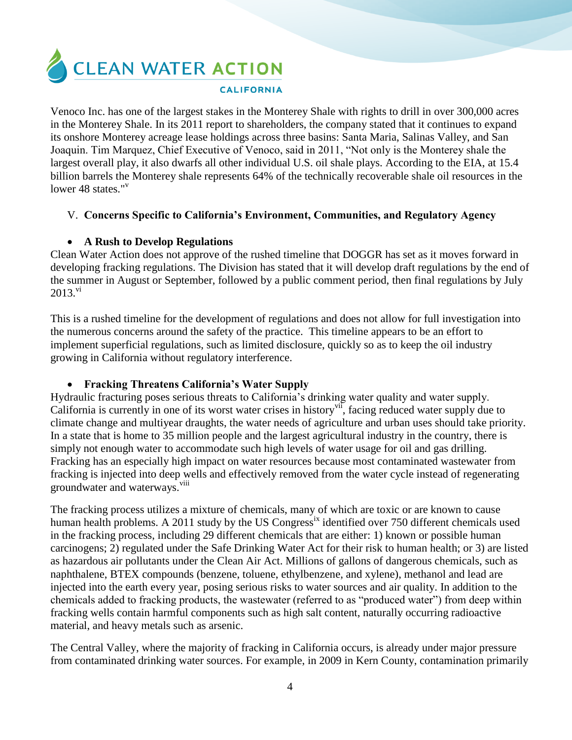**CLEAN WATER ACTION** 

### **CALIFORNIA**

Venoco Inc. has one of the largest stakes in the Monterey Shale with rights to drill in over 300,000 acres in the Monterey Shale. In its 2011 report to shareholders, the company stated that it continues to expand its onshore Monterey acreage lease holdings across three basins: Santa Maria, Salinas Valley, and San Joaquin. Tim Marquez, Chief Executive of Venoco, said in 2011, "Not only is the Monterey shale the largest overall play, it also dwarfs all other individual U.S. oil shale plays. According to the EIA, at 15.4 billion barrels the Monterey shale represents 64% of the technically recoverable shale oil resources in the lower 48 states."<sup>v</sup>

## V. **Concerns Specific to California's Environment, Communities, and Regulatory Agency**

# **A Rush to Develop Regulations**

Clean Water Action does not approve of the rushed timeline that DOGGR has set as it moves forward in developing fracking regulations. The Division has stated that it will develop draft regulations by the end of the summer in August or September, followed by a public comment period, then final regulations by July  $2013.^{\text{vi}}$ 

This is a rushed timeline for the development of regulations and does not allow for full investigation into the numerous concerns around the safety of the practice. This timeline appears to be an effort to implement superficial regulations, such as limited disclosure, quickly so as to keep the oil industry growing in California without regulatory interference.

# **Fracking Threatens California's Water Supply**

Hydraulic fracturing poses serious threats to California's drinking water quality and water supply. California is currently in one of its worst water crises in history<sup>vii</sup>, facing reduced water supply due to climate change and multiyear draughts, the water needs of agriculture and urban uses should take priority. In a state that is home to 35 million people and the largest agricultural industry in the country, there is simply not enough water to accommodate such high levels of water usage for oil and gas drilling. Fracking has an especially high impact on water resources because most contaminated wastewater from fracking is injected into deep wells and effectively removed from the water cycle instead of regenerating groundwater and waterways.<sup>viii</sup>

The fracking process utilizes a mixture of chemicals, many of which are toxic or are known to cause human health problems. A 2011 study by the US Congress<sup>ix</sup> identified over 750 different chemicals used in the fracking process, including 29 different chemicals that are either: 1) known or possible human carcinogens; 2) regulated under the Safe Drinking Water Act for their risk to human health; or 3) are listed as hazardous air pollutants under the Clean Air Act. Millions of gallons of dangerous chemicals, such as naphthalene, BTEX compounds (benzene, toluene, ethylbenzene, and xylene), methanol and lead are injected into the earth every year, posing serious risks to water sources and air quality. In addition to the chemicals added to fracking products, the wastewater (referred to as "produced water") from deep within fracking wells contain harmful components such as high salt content, naturally occurring radioactive material, and heavy metals such as arsenic.

The Central Valley, where the majority of fracking in California occurs, is already under major pressure from contaminated drinking water sources. For example, in 2009 in Kern County, contamination primarily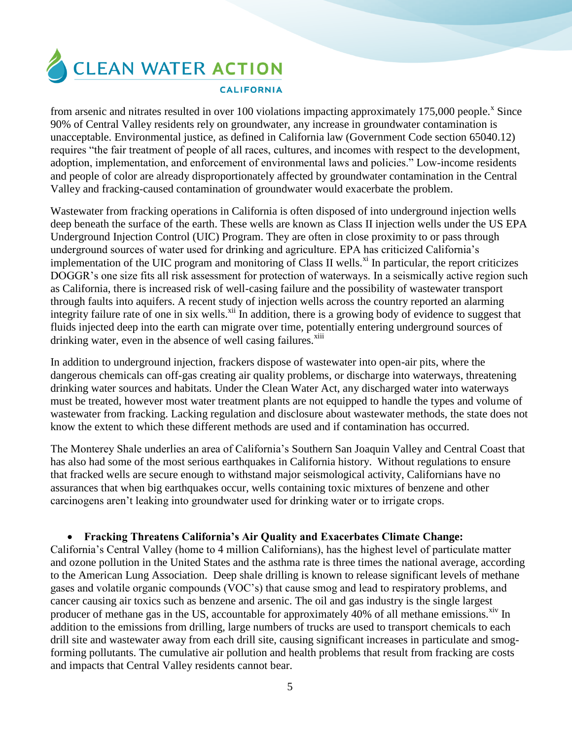

from arsenic and nitrates resulted in over 100 violations impacting approximately 175,000 people.<sup>x</sup> Since 90% of Central Valley residents rely on groundwater, any increase in groundwater contamination is unacceptable. Environmental justice, as defined in California law (Government Code section 65040.12) requires "the fair treatment of people of all races, cultures, and incomes with respect to the development, adoption, implementation, and enforcement of environmental laws and policies." Low-income residents and people of color are already disproportionately affected by groundwater contamination in the Central Valley and fracking-caused contamination of groundwater would exacerbate the problem.

Wastewater from fracking operations in California is often disposed of into underground injection wells deep beneath the surface of the earth. These wells are known as Class II injection wells under the US EPA Underground Injection Control (UIC) Program. They are often in close proximity to or pass through underground sources of water used for drinking and agriculture. EPA has criticized California's implementation of the UIC program and monitoring of Class II wells. $^{\text{xi}}$  In particular, the report criticizes DOGGR's one size fits all risk assessment for protection of waterways. In a seismically active region such as California, there is increased risk of well-casing failure and the possibility of wastewater transport through faults into aquifers. A recent study of injection wells across the country reported an alarming integrity failure rate of one in six wells.<sup>xii</sup> In addition, there is a growing body of evidence to suggest that fluids injected deep into the earth can migrate over time, potentially entering underground sources of drinking water, even in the absence of well casing failures.<sup>xiii</sup>

In addition to underground injection, frackers dispose of wastewater into open-air pits, where the dangerous chemicals can off-gas creating air quality problems, or discharge into waterways, threatening drinking water sources and habitats. Under the Clean Water Act, any discharged water into waterways must be treated, however most water treatment plants are not equipped to handle the types and volume of wastewater from fracking. Lacking regulation and disclosure about wastewater methods, the state does not know the extent to which these different methods are used and if contamination has occurred.

The Monterey Shale underlies an area of California's Southern San Joaquin Valley and Central Coast that has also had some of the most serious earthquakes in California history. Without regulations to ensure that fracked wells are secure enough to withstand major seismological activity, Californians have no assurances that when big earthquakes occur, wells containing toxic mixtures of benzene and other carcinogens aren't leaking into groundwater used for drinking water or to irrigate crops.

# **Fracking Threatens California's Air Quality and Exacerbates Climate Change:**

California's Central Valley (home to 4 million Californians), has the highest level of particulate matter and ozone pollution in the United States and the asthma rate is three times the national average, according to the American Lung Association. Deep shale drilling is known to release significant levels of methane gases and volatile organic compounds (VOC's) that cause smog and lead to respiratory problems, and cancer causing air toxics such as benzene and arsenic. The oil and gas industry is the single largest producer of methane gas in the US, accountable for approximately 40% of all methane emissions.<sup> $\frac{div}{dx}$ </sup> In addition to the emissions from drilling, large numbers of trucks are used to transport chemicals to each drill site and wastewater away from each drill site, causing significant increases in particulate and smogforming pollutants. The cumulative air pollution and health problems that result from fracking are costs and impacts that Central Valley residents cannot bear.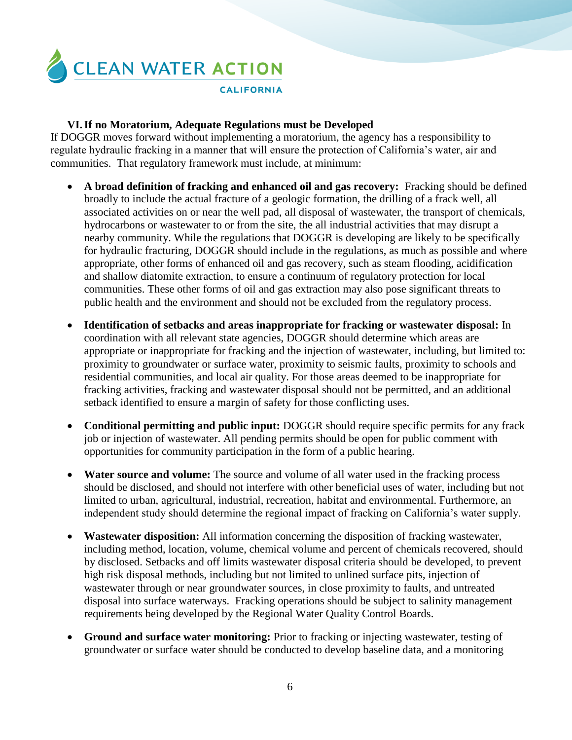

## **VI.If no Moratorium, Adequate Regulations must be Developed**

If DOGGR moves forward without implementing a moratorium, the agency has a responsibility to regulate hydraulic fracking in a manner that will ensure the protection of California's water, air and communities. That regulatory framework must include, at minimum:

- **A broad definition of fracking and enhanced oil and gas recovery:** Fracking should be defined broadly to include the actual fracture of a geologic formation, the drilling of a frack well, all associated activities on or near the well pad, all disposal of wastewater, the transport of chemicals, hydrocarbons or wastewater to or from the site, the all industrial activities that may disrupt a nearby community. While the regulations that DOGGR is developing are likely to be specifically for hydraulic fracturing, DOGGR should include in the regulations, as much as possible and where appropriate, other forms of enhanced oil and gas recovery, such as steam flooding, acidification and shallow diatomite extraction, to ensure a continuum of regulatory protection for local communities. These other forms of oil and gas extraction may also pose significant threats to public health and the environment and should not be excluded from the regulatory process.
- **Identification of setbacks and areas inappropriate for fracking or wastewater disposal:** In coordination with all relevant state agencies, DOGGR should determine which areas are appropriate or inappropriate for fracking and the injection of wastewater, including, but limited to: proximity to groundwater or surface water, proximity to seismic faults, proximity to schools and residential communities, and local air quality. For those areas deemed to be inappropriate for fracking activities, fracking and wastewater disposal should not be permitted, and an additional setback identified to ensure a margin of safety for those conflicting uses.
- **Conditional permitting and public input:** DOGGR should require specific permits for any frack job or injection of wastewater. All pending permits should be open for public comment with opportunities for community participation in the form of a public hearing.
- **Water source and volume:** The source and volume of all water used in the fracking process should be disclosed, and should not interfere with other beneficial uses of water, including but not limited to urban, agricultural, industrial, recreation, habitat and environmental. Furthermore, an independent study should determine the regional impact of fracking on California's water supply.
- **Wastewater disposition:** All information concerning the disposition of fracking wastewater, including method, location, volume, chemical volume and percent of chemicals recovered, should by disclosed. Setbacks and off limits wastewater disposal criteria should be developed, to prevent high risk disposal methods, including but not limited to unlined surface pits, injection of wastewater through or near groundwater sources, in close proximity to faults, and untreated disposal into surface waterways. Fracking operations should be subject to salinity management requirements being developed by the Regional Water Quality Control Boards.
- **Ground and surface water monitoring:** Prior to fracking or injecting wastewater, testing of groundwater or surface water should be conducted to develop baseline data, and a monitoring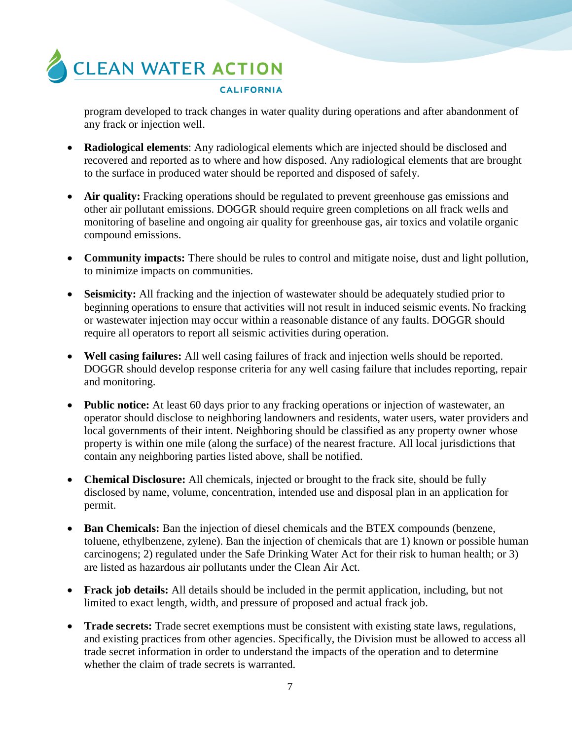

program developed to track changes in water quality during operations and after abandonment of any frack or injection well.

- **Radiological elements**: Any radiological elements which are injected should be disclosed and recovered and reported as to where and how disposed. Any radiological elements that are brought to the surface in produced water should be reported and disposed of safely.
- Air quality: Fracking operations should be regulated to prevent greenhouse gas emissions and other air pollutant emissions. DOGGR should require green completions on all frack wells and monitoring of baseline and ongoing air quality for greenhouse gas, air toxics and volatile organic compound emissions.
- **Community impacts:** There should be rules to control and mitigate noise, dust and light pollution, to minimize impacts on communities.
- **Seismicity:** All fracking and the injection of wastewater should be adequately studied prior to beginning operations to ensure that activities will not result in induced seismic events. No fracking or wastewater injection may occur within a reasonable distance of any faults. DOGGR should require all operators to report all seismic activities during operation.
- **Well casing failures:** All well casing failures of frack and injection wells should be reported. DOGGR should develop response criteria for any well casing failure that includes reporting, repair and monitoring.
- **Public notice:** At least 60 days prior to any fracking operations or injection of wastewater, an operator should disclose to neighboring landowners and residents, water users, water providers and local governments of their intent. Neighboring should be classified as any property owner whose property is within one mile (along the surface) of the nearest fracture. All local jurisdictions that contain any neighboring parties listed above, shall be notified.
- **Chemical Disclosure:** All chemicals, injected or brought to the frack site, should be fully disclosed by name, volume, concentration, intended use and disposal plan in an application for permit.
- **Ban Chemicals:** Ban the injection of diesel chemicals and the BTEX compounds (benzene, toluene, ethylbenzene, zylene). Ban the injection of chemicals that are 1) known or possible human carcinogens; 2) regulated under the Safe Drinking Water Act for their risk to human health; or 3) are listed as hazardous air pollutants under the Clean Air Act.
- **Frack job details:** All details should be included in the permit application, including, but not limited to exact length, width, and pressure of proposed and actual frack job.
- **Trade secrets:** Trade secret exemptions must be consistent with existing state laws, regulations, and existing practices from other agencies. Specifically, the Division must be allowed to access all trade secret information in order to understand the impacts of the operation and to determine whether the claim of trade secrets is warranted.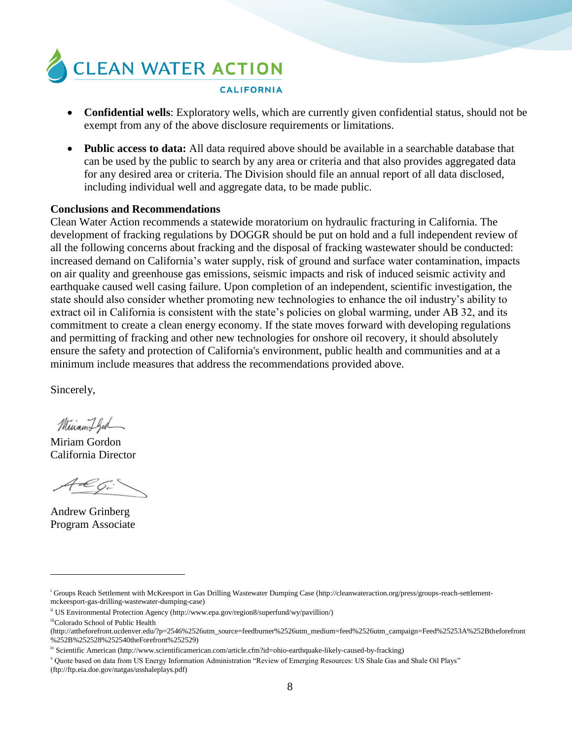

- **Confidential wells**: Exploratory wells, which are currently given confidential status, should not be exempt from any of the above disclosure requirements or limitations.
- **Public access to data:** All data required above should be available in a searchable database that can be used by the public to search by any area or criteria and that also provides aggregated data for any desired area or criteria. The Division should file an annual report of all data disclosed, including individual well and aggregate data, to be made public.

### **Conclusions and Recommendations**

Clean Water Action recommends a statewide moratorium on hydraulic fracturing in California. The development of fracking regulations by DOGGR should be put on hold and a full independent review of all the following concerns about fracking and the disposal of fracking wastewater should be conducted: increased demand on California's water supply, risk of ground and surface water contamination, impacts on air quality and greenhouse gas emissions, seismic impacts and risk of induced seismic activity and earthquake caused well casing failure. Upon completion of an independent, scientific investigation, the state should also consider whether promoting new technologies to enhance the oil industry's ability to extract oil in California is consistent with the state's policies on global warming, under AB 32, and its commitment to create a clean energy economy. If the state moves forward with developing regulations and permitting of fracking and other new technologies for onshore oil recovery, it should absolutely ensure the safety and protection of California's environment, public health and communities and at a minimum include measures that address the recommendations provided above.

Sincerely,

Minamiffed

Miriam Gordon California Director

Andrew Grinberg Program Associate

 $\overline{a}$ 

<sup>i</sup> Groups Reach Settlement with McKeesport in Gas Drilling Wastewater Dumping Case (http://cleanwateraction.org/press/groups-reach-settlementmckeesport-gas-drilling-wastewater-dumping-case)

ii US Environmental Protection Agency (http://www.epa.gov/region8/superfund/wy/pavillion/)

iiiColorado School of Public Health

<sup>(</sup>http://attheforefront.ucdenver.edu/?p=2546%2526utm\_source=feedburner%2526utm\_medium=feed%2526utm\_campaign=Feed%25253A%252Btheforefront %252B%252528%252540theForefront%252529)

iv Scientific American (http://www.scientificamerican.com/article.cfm?id=ohio-earthquake-likely-caused-by-fracking)

<sup>v</sup> Quote based on data from US Energy Information Administration "Review of Emerging Resources: US Shale Gas and Shale Oil Plays" (ftp://ftp.eia.doe.gov/natgas/usshaleplays.pdf)